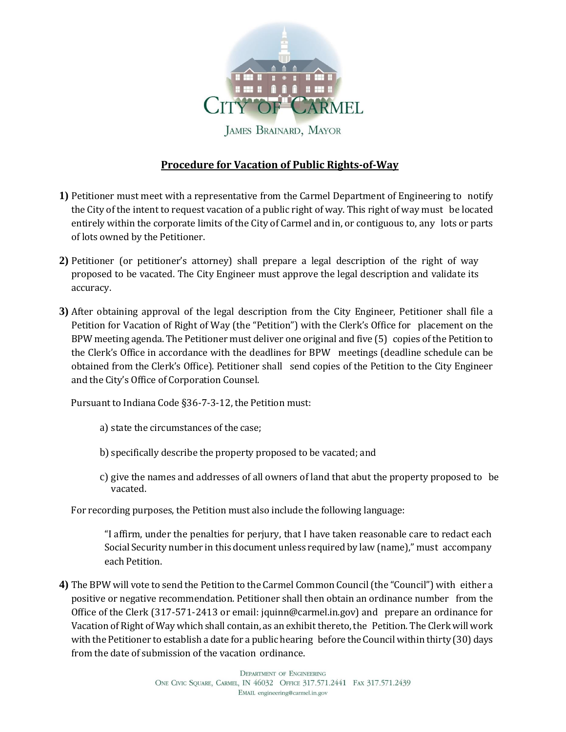

**JAMES BRAINARD, MAYOR** 

## **Procedure for Vacation of Public Rights-of-Way**

- **1)** Petitioner must meet with a representative from the Carmel Department of Engineering to notify the City of the intent to request vacation of a public right of way. This right of way must be located entirely within the corporate limits of the City of Carmel and in, or contiguous to, any lots or parts of lots owned by the Petitioner.
- **2)** Petitioner (or petitioner's attorney) shall prepare a legal description of the right of way proposed to be vacated. The City Engineer must approve the legal description and validate its accuracy.
- **3)** After obtaining approval of the legal description from the City Engineer, Petitioner shall file a Petition for Vacation of Right of Way (the "Petition") with the Clerk's Office for placement on the BPW meeting agenda. The Petitioner must deliver one original and five (5) copies of the Petition to the Clerk's Office in accordance with the deadlines for BPW meetings (deadline schedule can be obtained from the Clerk's Office). Petitioner shall send copies of the Petition to the City Engineer and the City's Office of Corporation Counsel.

Pursuant to Indiana Code §36-7-3-12, the Petition must:

- a) state the circumstances of the case;
- b) specifically describe the property proposed to be vacated; and
- c) give the names and addresses of all owners of land that abut the property proposed to be vacated.

For recording purposes, the Petition must also include the following language:

"I affirm, under the penalties for perjury, that I have taken reasonable care to redact each Social Security number in this document unless required by law (name)," must accompany each Petition.

**4)** The BPW will vote to send the Petition to the Carmel Common Council(the "Council") with either a positive or negative recommendation. Petitioner shall then obtain an ordinance number from the Office of the Clerk (317-571-2413 or email: jquinn@carmel.in.gov) and prepare an ordinance for Vacation of Right of Way which shall contain, as an exhibitthereto,the Petition. The Clerk will work with the Petitioner to establish a date for a public hearing before the Council within thirty (30) days from the date of submission of the vacation ordinance.